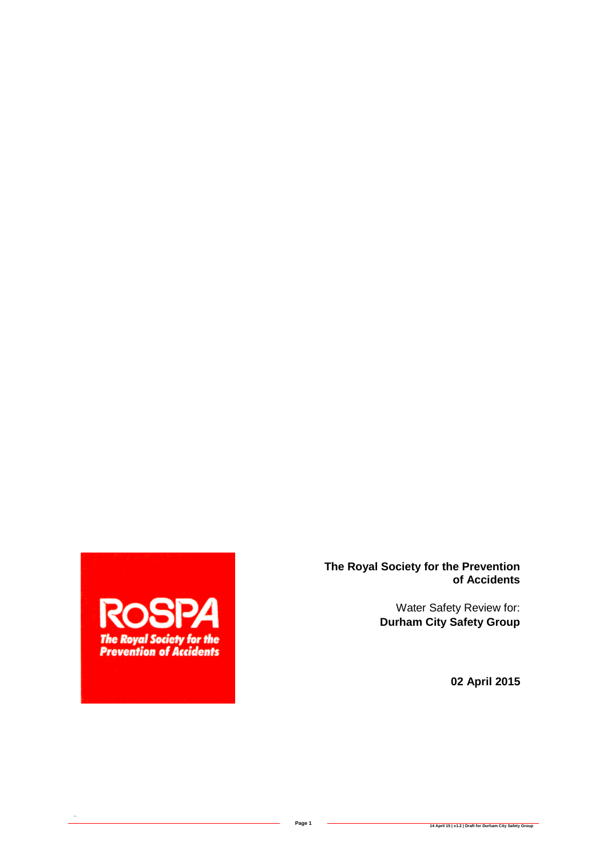

 $\ddot{\phantom{0}}$ 

**The Royal Society for the Prevention of Accidents**

> Water Safety Review for: **Durham City Safety Group**

> > **02 April 2015**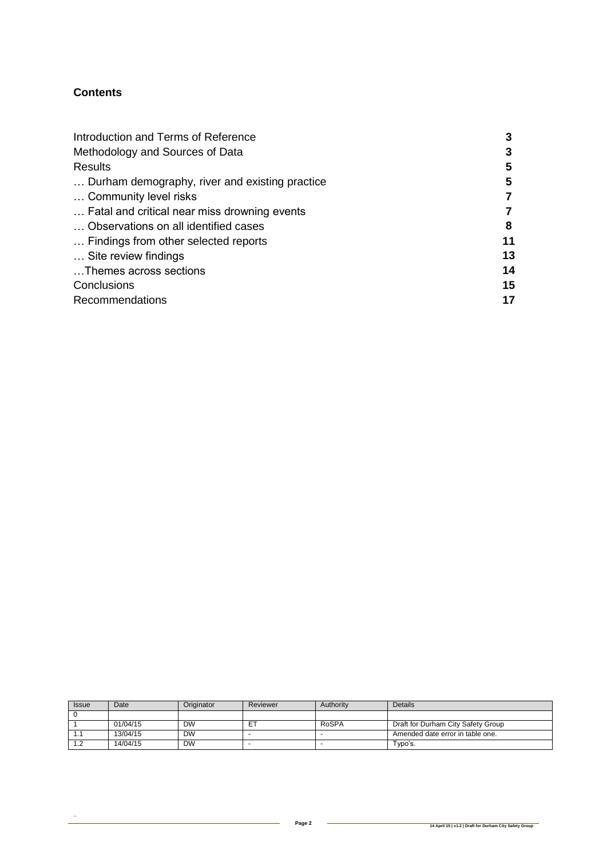#### **Contents**

 $\ddot{\phantom{0}}$ 

| Introduction and Terms of Reference            | 3  |
|------------------------------------------------|----|
| Methodology and Sources of Data                |    |
| <b>Results</b>                                 | 5  |
| Durham demography, river and existing practice | 5  |
| Community level risks                          |    |
| Fatal and critical near miss drowning events   |    |
| Observations on all identified cases           | 8  |
| Findings from other selected reports           | 11 |
| Site review findings                           | 13 |
| Themes across sections                         | 14 |
| Conclusions                                    | 15 |
| Recommendations                                |    |

| <b>Issue</b>   | Date     | Originator | Reviewer | Authority | <b>Details</b>                     |
|----------------|----------|------------|----------|-----------|------------------------------------|
|                |          |            |          |           |                                    |
|                | 01/04/15 | <b>DW</b>  | ET       | RoSPA     | Draft for Durham City Safety Group |
| . .            | 13/04/15 | <b>DW</b>  |          |           | Amended date error in table one.   |
| $\overline{ }$ | 14/04/15 | <b>DW</b>  |          |           | Typo's.                            |

ш,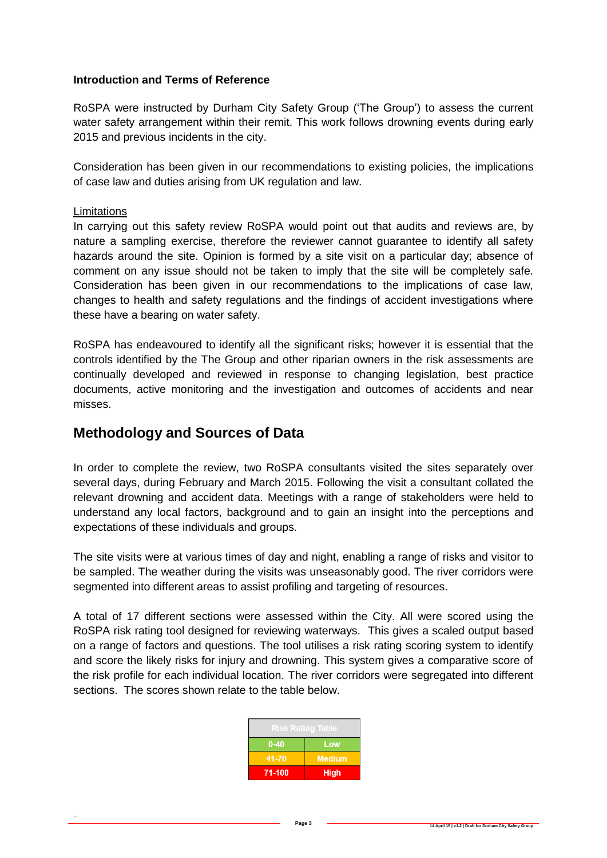#### **Introduction and Terms of Reference**

RoSPA were instructed by Durham City Safety Group ('The Group') to assess the current water safety arrangement within their remit. This work follows drowning events during early 2015 and previous incidents in the city.

Consideration has been given in our recommendations to existing policies, the implications of case law and duties arising from UK regulation and law.

#### Limitations

 $\ddot{\phantom{0}}$ 

In carrying out this safety review RoSPA would point out that audits and reviews are, by nature a sampling exercise, therefore the reviewer cannot guarantee to identify all safety hazards around the site. Opinion is formed by a site visit on a particular day; absence of comment on any issue should not be taken to imply that the site will be completely safe. Consideration has been given in our recommendations to the implications of case law, changes to health and safety regulations and the findings of accident investigations where these have a bearing on water safety.

RoSPA has endeavoured to identify all the significant risks; however it is essential that the controls identified by the The Group and other riparian owners in the risk assessments are continually developed and reviewed in response to changing legislation, best practice documents, active monitoring and the investigation and outcomes of accidents and near misses.

## **Methodology and Sources of Data**

In order to complete the review, two RoSPA consultants visited the sites separately over several days, during February and March 2015. Following the visit a consultant collated the relevant drowning and accident data. Meetings with a range of stakeholders were held to understand any local factors, background and to gain an insight into the perceptions and expectations of these individuals and groups.

The site visits were at various times of day and night, enabling a range of risks and visitor to be sampled. The weather during the visits was unseasonably good. The river corridors were segmented into different areas to assist profiling and targeting of resources.

A total of 17 different sections were assessed within the City. All were scored using the RoSPA risk rating tool designed for reviewing waterways. This gives a scaled output based on a range of factors and questions. The tool utilises a risk rating scoring system to identify and score the likely risks for injury and drowning. This system gives a comparative score of the risk profile for each individual location. The river corridors were segregated into different sections. The scores shown relate to the table below.

| <b>Risk Rating Table</b> |               |  |
|--------------------------|---------------|--|
| $0 - 40$                 | Low           |  |
| 41-70                    | <b>Medium</b> |  |
| 71-100                   | <b>High</b>   |  |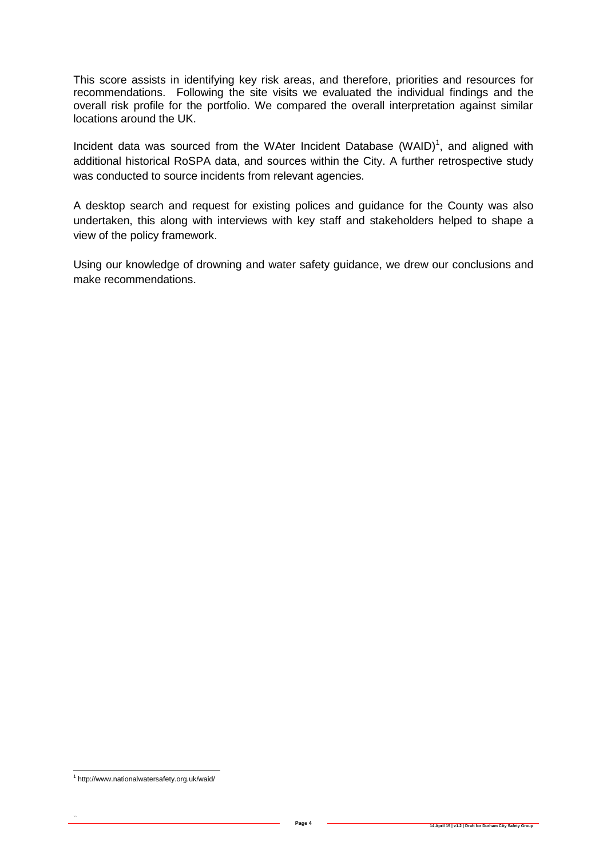This score assists in identifying key risk areas, and therefore, priorities and resources for recommendations. Following the site visits we evaluated the individual findings and the overall risk profile for the portfolio. We compared the overall interpretation against similar locations around the UK.

Incident data was sourced from the WAter Incident Database  $(WAID)^1$ , and aligned with additional historical RoSPA data, and sources within the City. A further retrospective study was conducted to source incidents from relevant agencies.

A desktop search and request for existing polices and guidance for the County was also undertaken, this along with interviews with key staff and stakeholders helped to shape a view of the policy framework.

Using our knowledge of drowning and water safety guidance, we drew our conclusions and make recommendations.

 1 http://www.nationalwatersafety.org.uk/waid/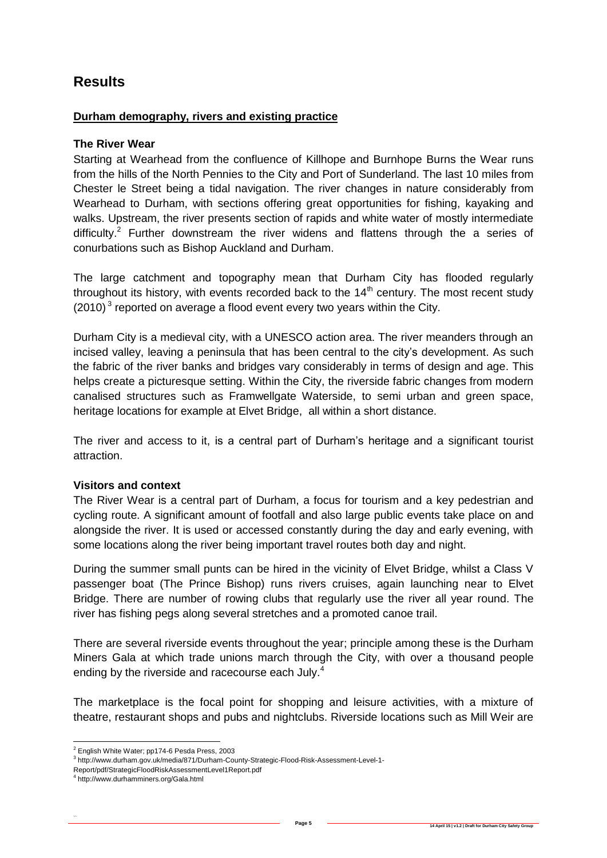# **Results**

#### **Durham demography, rivers and existing practice**

#### **The River Wear**

Starting at Wearhead from the confluence of Killhope and Burnhope Burns the Wear runs from the hills of the North Pennies to the City and Port of Sunderland. The last 10 miles from Chester le Street being a tidal navigation. The river changes in nature considerably from Wearhead to Durham, with sections offering great opportunities for fishing, kayaking and walks. Upstream, the river presents section of rapids and white water of mostly intermediate difficulty.<sup>2</sup> Further downstream the river widens and flattens through the a series of conurbations such as Bishop Auckland and Durham.

The large catchment and topography mean that Durham City has flooded regularly throughout its history, with events recorded back to the  $14<sup>th</sup>$  century. The most recent study  $(2010)^3$  reported on average a flood event every two years within the City.

Durham City is a medieval city, with a UNESCO action area. The river meanders through an incised valley, leaving a peninsula that has been central to the city's development. As such the fabric of the river banks and bridges vary considerably in terms of design and age. This helps create a picturesque setting. Within the City, the riverside fabric changes from modern canalised structures such as Framwellgate Waterside, to semi urban and green space, heritage locations for example at Elvet Bridge, all within a short distance.

The river and access to it, is a central part of Durham's heritage and a significant tourist attraction.

#### **Visitors and context**

The River Wear is a central part of Durham, a focus for tourism and a key pedestrian and cycling route. A significant amount of footfall and also large public events take place on and alongside the river. It is used or accessed constantly during the day and early evening, with some locations along the river being important travel routes both day and night.

During the summer small punts can be hired in the vicinity of Elvet Bridge, whilst a Class V passenger boat (The Prince Bishop) runs rivers cruises, again launching near to Elvet Bridge. There are number of rowing clubs that regularly use the river all year round. The river has fishing pegs along several stretches and a promoted canoe trail.

There are several riverside events throughout the year; principle among these is the Durham Miners Gala at which trade unions march through the City, with over a thousand people ending by the riverside and racecourse each July.<sup>4</sup>

The marketplace is the focal point for shopping and leisure activities, with a mixture of theatre, restaurant shops and pubs and nightclubs. Riverside locations such as Mill Weir are

<sup>-</sup><sup>2</sup> English White Water; pp174-6 Pesda Press, 2003

<sup>3</sup> http://www.durham.gov.uk/media/871/Durham-County-Strategic-Flood-Risk-Assessment-Level-1-

Report/pdf/StrategicFloodRiskAssessmentLevel1Report.pdf

<sup>4</sup> http://www.durhamminers.org/Gala.html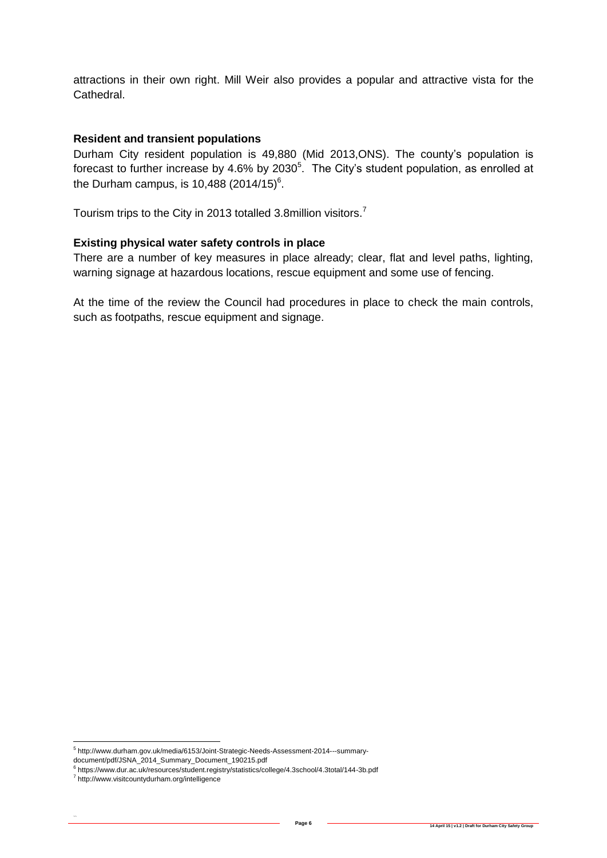attractions in their own right. Mill Weir also provides a popular and attractive vista for the Cathedral.

#### **Resident and transient populations**

Durham City resident population is 49,880 (Mid 2013,ONS). The county's population is forecast to further increase by 4.6% by 2030<sup>5</sup>. The City's student population, as enrolled at the Durham campus, is 10,488 (2014/15)<sup>6</sup>.

Tourism trips to the City in 2013 totalled 3.8million visitors.<sup>7</sup>

#### **Existing physical water safety controls in place**

There are a number of key measures in place already; clear, flat and level paths, lighting, warning signage at hazardous locations, rescue equipment and some use of fencing.

At the time of the review the Council had procedures in place to check the main controls, such as footpaths, rescue equipment and signage.

\_<br><sup>5</sup> http://www.durham.gov.uk/media/6153/Joint-Strategic-Needs-Assessment-2014---summary-

document/pdf/JSNA\_2014\_Summary\_Document\_190215.pdf<br><sup>6</sup> https://www.dur.ac.uk/resources/student.registry/statistics/college/4.3school/4.3total/144-3b.pdf

<sup>&</sup>lt;sup>7</sup> http://www.visitcountydurham.org/intelligence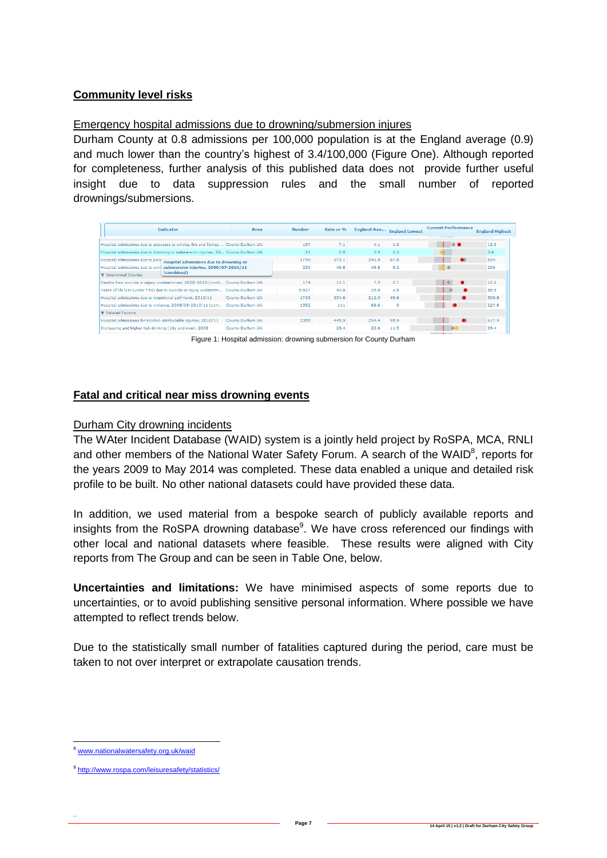## **Community level risks**

## Emergency hospital admissions due to drowning/submersion injures

Durham County at 0.8 admissions per 100,000 population is at the England average (0.9) and much lower than the country's highest of 3.4/100,000 (Figure One). Although reported for completeness, further analysis of this published data does not provide further useful insight due to data suppression rules and the small number of reported drownings/submersions.

| Indicator                                                                            | Area             | <b>Number</b> | Rate or % | <b>England Ave</b> | <b>England Lowest</b> | <b>Current Performance</b> | <b>England Highest</b> |
|--------------------------------------------------------------------------------------|------------------|---------------|-----------|--------------------|-----------------------|----------------------------|------------------------|
|                                                                                      |                  |               |           |                    |                       |                            |                        |
| Hospital admissions due to exposure to smoke, fire and flames  County Durham UA      |                  | 107           | 7.1       | 4.1                | 1.3                   |                            | 12.3                   |
| Hospital admissions due to drowning or submersion injuries, 20 County Durham UA      |                  | 21            | 0.8       | 0.9                | 0.3                   |                            | 3,4                    |
| Hospital admissions due to pois<br>Hospital admissions due to drowning or            |                  | 1790          | 370.1     | 241.5              | 67.8                  | $\bullet$                  | 539                    |
| Hospital admissions due to unin<br>submersion injuries, 2006/07-2010/11              |                  | 230           | 46.8      | 48.8               | 8.2                   |                            | 206                    |
| (combined)<br><b>V</b> Intentional Injuries                                          |                  |               |           |                    |                       |                            |                        |
| Deaths from suicide or injury undetermined, 2008-2010 (comb County Durham UA         |                  | 174           | 11.1      | 7.9                | 2.7                   |                            | 15.2                   |
| Years of life lost (under 75s) due to suicide or injury undetermi   County Durham UA |                  | 5.527         | 40.8      | 25.5               | 6.5                   |                            | 55.5                   |
| Hospital admissions due to intentional self-harm, 2010/11                            | County Durham UA | 1703          | 354.6     | 212.0              | 49.6                  |                            | 509.8                  |
| Hospital admissions due to violence, 2008/09-2010/11 (com                            | County Durham UA | 1552          | 111       | 68.6               | ۰                     |                            | 227.8                  |
| Related Factors                                                                      |                  |               |           |                    |                       |                            |                        |
| Hospital admissions for alcohol-attributable injuries, 2010/11                       | County Durham UA | 2355          | 445.9     | 294.4              | 95.9                  | œ                          | 617.9                  |
| Increasing and higher risk drinking (16s and over), 2008                             | County Durham UA |               | 28.4      | 23.6               | 11.5                  | $\bigoplus$                | 39.4                   |
|                                                                                      |                  |               |           |                    |                       |                            |                        |

Figure 1: Hospital admission: drowning submersion for County Durham

#### **Fatal and critical near miss drowning events**

#### Durham City drowning incidents

The WAter Incident Database (WAID) system is a jointly held project by RoSPA, MCA, RNLI and other members of the National Water Safety Forum. A search of the WAID $^8$ , reports for the years 2009 to May 2014 was completed. These data enabled a unique and detailed risk profile to be built. No other national datasets could have provided these data.

In addition, we used material from a bespoke search of publicly available reports and insights from the RoSPA drowning database<sup>9</sup>. We have cross referenced our findings with other local and national datasets where feasible. These results were aligned with City reports from The Group and can be seen in Table One, below.

**Uncertainties and limitations:** We have minimised aspects of some reports due to uncertainties, or to avoid publishing sensitive personal information. Where possible we have attempted to reflect trends below.

Due to the statistically small number of fatalities captured during the period, care must be taken to not over interpret or extrapolate causation trends.

8 [www.nationalwatersafety.org.uk/waid](http://www.nationalwatersafety.org.uk/waid)

<sup>&</sup>lt;sup>9</sup> <http://www.rospa.com/leisuresafety/statistics/>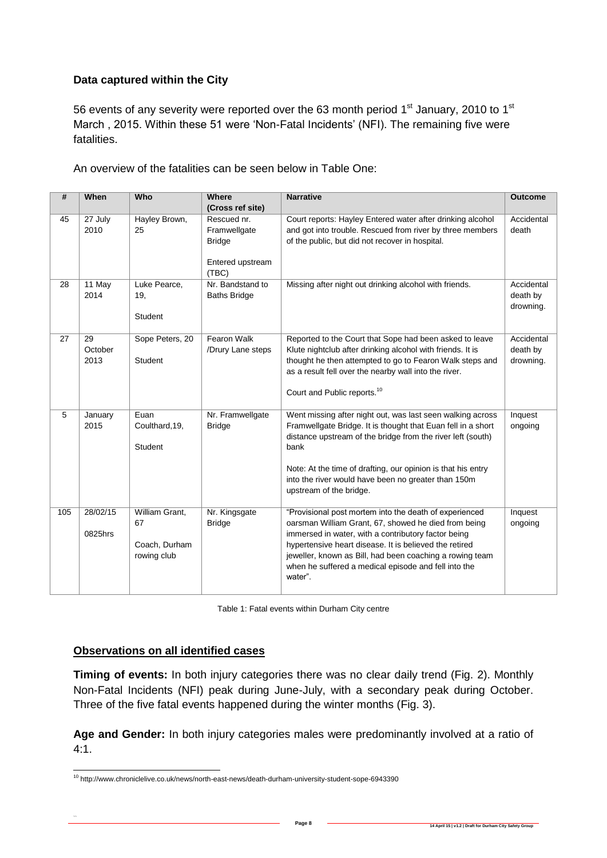## **Data captured within the City**

56 events of any severity were reported over the 63 month period  $1<sup>st</sup>$  January, 2010 to  $1<sup>st</sup>$ March , 2015. Within these 51 were 'Non-Fatal Incidents' (NFI). The remaining five were fatalities.

An overview of the fatalities can be seen below in Table One:

| #   | When                  | Who                                                  | Where<br>(Cross ref site)                                                 | <b>Narrative</b>                                                                                                                                                                                                                                                                                                                                               | <b>Outcome</b>                      |
|-----|-----------------------|------------------------------------------------------|---------------------------------------------------------------------------|----------------------------------------------------------------------------------------------------------------------------------------------------------------------------------------------------------------------------------------------------------------------------------------------------------------------------------------------------------------|-------------------------------------|
| 45  | 27 July<br>2010       | Hayley Brown,<br>25                                  | Rescued nr.<br>Framwellgate<br><b>Bridge</b><br>Entered upstream<br>(TBC) | Court reports: Hayley Entered water after drinking alcohol<br>and got into trouble. Rescued from river by three members<br>of the public, but did not recover in hospital.                                                                                                                                                                                     | Accidental<br>death                 |
| 28  | 11 May<br>2014        | Luke Pearce,<br>19,<br><b>Student</b>                | Nr. Bandstand to<br><b>Baths Bridge</b>                                   | Missing after night out drinking alcohol with friends.                                                                                                                                                                                                                                                                                                         | Accidental<br>death by<br>drowning. |
| 27  | 29<br>October<br>2013 | Sope Peters, 20<br><b>Student</b>                    | Fearon Walk<br>/Drury Lane steps                                          | Reported to the Court that Sope had been asked to leave<br>Klute nightclub after drinking alcohol with friends. It is<br>thought he then attempted to go to Fearon Walk steps and<br>as a result fell over the nearby wall into the river.<br>Court and Public reports. <sup>10</sup>                                                                          | Accidental<br>death by<br>drowning. |
| 5   | January<br>2015       | Euan<br>Coulthard, 19,<br><b>Student</b>             | Nr. Framwellgate<br><b>Bridge</b>                                         | Went missing after night out, was last seen walking across<br>Framwellgate Bridge. It is thought that Euan fell in a short<br>distance upstream of the bridge from the river left (south)<br>bank<br>Note: At the time of drafting, our opinion is that his entry<br>into the river would have been no greater than 150m<br>upstream of the bridge.            | Inquest<br>ongoing                  |
| 105 | 28/02/15<br>0825hrs   | William Grant,<br>67<br>Coach, Durham<br>rowing club | Nr. Kingsgate<br><b>Bridge</b>                                            | "Provisional post mortem into the death of experienced<br>oarsman William Grant, 67, showed he died from being<br>immersed in water, with a contributory factor being<br>hypertensive heart disease. It is believed the retired<br>jeweller, known as Bill, had been coaching a rowing team<br>when he suffered a medical episode and fell into the<br>water". | Inquest<br>ongoing                  |

Table 1: Fatal events within Durham City centre

#### **Observations on all identified cases**

 $\ddot{\phantom{0}}$ 

**Timing of events:** In both injury categories there was no clear daily trend (Fig. 2). Monthly Non-Fatal Incidents (NFI) peak during June-July, with a secondary peak during October. Three of the five fatal events happened during the winter months (Fig. 3).

**Age and Gender:** In both injury categories males were predominantly involved at a ratio of  $4:1.$ 

<sup>-</sup><sup>10</sup> http://www.chroniclelive.co.uk/news/north-east-news/death-durham-university-student-sope-6943390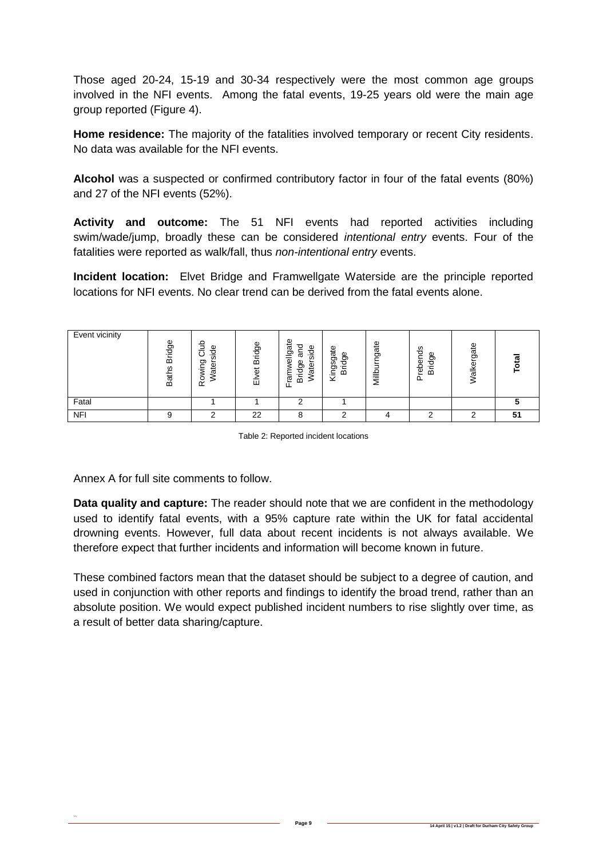Those aged 20-24, 15-19 and 30-34 respectively were the most common age groups involved in the NFI events. Among the fatal events, 19-25 years old were the main age group reported (Figure 4).

**Home residence:** The majority of the fatalities involved temporary or recent City residents. No data was available for the NFI events.

**Alcohol** was a suspected or confirmed contributory factor in four of the fatal events (80%) and 27 of the NFI events (52%).

**Activity and outcome:** The 51 NFI events had reported activities including swim/wade/jump, broadly these can be considered *intentional entry* events. Four of the fatalities were reported as walk/fall, thus *non-intentional entry* events.

**Incident location:** Elvet Bridge and Framwellgate Waterside are the principle reported locations for NFI events. No clear trend can be derived from the fatal events alone.

| Event vicinity | <b>Bridge</b><br><b>S</b><br>Bath: | 을<br>Φ<br>o<br>-<br>C.<br>రా<br>ate<br>o<br>$\alpha$ | <b>Bridge</b><br>ಕ<br>靣 | Φ<br>gat<br>℧<br>side<br>ᢐ<br>Ī<br>Φ<br>ate<br>రా<br>σ<br>m<br>ᄔ | gate<br>Φ<br>ರಾ<br>セ<br>ğ,<br>-<br>ഥ<br>ー<br>× | gate<br>느<br>-<br><b>SHIP</b><br>⋍ | å<br>Φ<br>ō<br>eder<br>호<br>∞<br>Δ. | alkergate | ೲ  |
|----------------|------------------------------------|------------------------------------------------------|-------------------------|------------------------------------------------------------------|------------------------------------------------|------------------------------------|-------------------------------------|-----------|----|
| Fatal          |                                    |                                                      |                         |                                                                  |                                                |                                    |                                     |           |    |
| <b>NFI</b>     |                                    | ⌒                                                    | 22                      | о                                                                | ົ                                              |                                    | ◠                                   | ╭         | 51 |

Table 2: Reported incident locations

Annex A for full site comments to follow.

 $\ddot{\phantom{0}}$ 

**Data quality and capture:** The reader should note that we are confident in the methodology used to identify fatal events, with a 95% capture rate within the UK for fatal accidental drowning events. However, full data about recent incidents is not always available. We therefore expect that further incidents and information will become known in future.

These combined factors mean that the dataset should be subject to a degree of caution, and used in conjunction with other reports and findings to identify the broad trend, rather than an absolute position. We would expect published incident numbers to rise slightly over time, as a result of better data sharing/capture.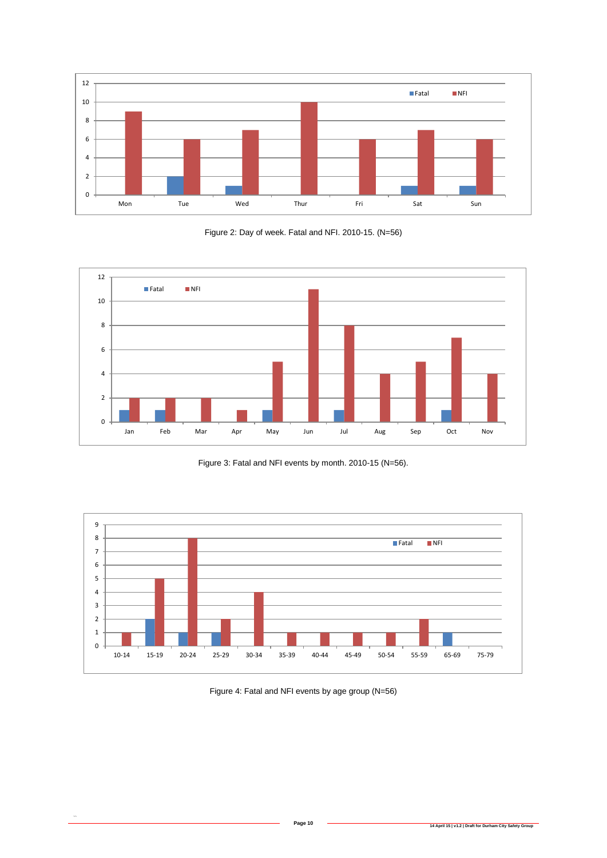

Figure 2: Day of week. Fatal and NFI. 2010-15. (N=56)



Figure 3: Fatal and NFI events by month. 2010-15 (N=56).



Figure 4: Fatal and NFI events by age group (N=56)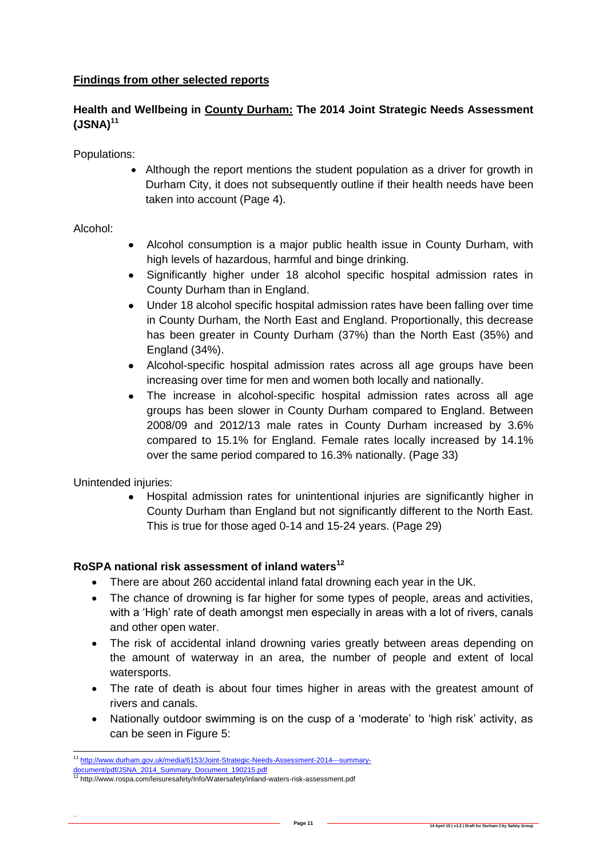## **Findings from other selected reports**

## **Health and Wellbeing in County Durham: The 2014 Joint Strategic Needs Assessment (JSNA)<sup>11</sup>**

Populations:

 Although the report mentions the student population as a driver for growth in Durham City, it does not subsequently outline if their health needs have been taken into account (Page 4).

## Alcohol:

- Alcohol consumption is a major public health issue in County Durham, with high levels of hazardous, harmful and binge drinking.
- Significantly higher under 18 alcohol specific hospital admission rates in County Durham than in England.
- Under 18 alcohol specific hospital admission rates have been falling over time in County Durham, the North East and England. Proportionally, this decrease has been greater in County Durham (37%) than the North East (35%) and England (34%).
- Alcohol-specific hospital admission rates across all age groups have been increasing over time for men and women both locally and nationally.
- The increase in alcohol-specific hospital admission rates across all age groups has been slower in County Durham compared to England. Between 2008/09 and 2012/13 male rates in County Durham increased by 3.6% compared to 15.1% for England. Female rates locally increased by 14.1% over the same period compared to 16.3% nationally. (Page 33)

Unintended injuries:

 Hospital admission rates for unintentional injuries are significantly higher in County Durham than England but not significantly different to the North East. This is true for those aged 0-14 and 15-24 years. (Page 29)

## **RoSPA national risk assessment of inland waters<sup>12</sup>**

- There are about 260 accidental inland fatal drowning each year in the UK.
- The chance of drowning is far higher for some types of people, areas and activities, with a 'High' rate of death amongst men especially in areas with a lot of rivers, canals and other open water.
- The risk of accidental inland drowning varies greatly between areas depending on the amount of waterway in an area, the number of people and extent of local watersports.
- The rate of death is about four times higher in areas with the greatest amount of rivers and canals.
- Nationally outdoor swimming is on the cusp of a 'moderate' to 'high risk' activity, as can be seen in Figure 5:

<sup>11</sup> [http://www.durham.gov.uk/media/6153/Joint-Strategic-Needs-Assessment-2014---summary-](http://www.durham.gov.uk/media/6153/Joint-Strategic-Needs-Assessment-2014---summary-document/pdf/JSNA_2014_Summary_Document_190215.pdf)

<sup>&</sup>lt;u>[document/pdf/JSNA\\_2014\\_Summary\\_Document\\_190215.pdf](http://www.durham.gov.uk/media/6153/Joint-Strategic-Needs-Assessment-2014---summary-document/pdf/JSNA_2014_Summary_Document_190215.pdf)</u><br><sup>12</sup> http://www.rospa.com/leisuresafety/Info/Watersafety/inland-waters-risk-assessment.pdf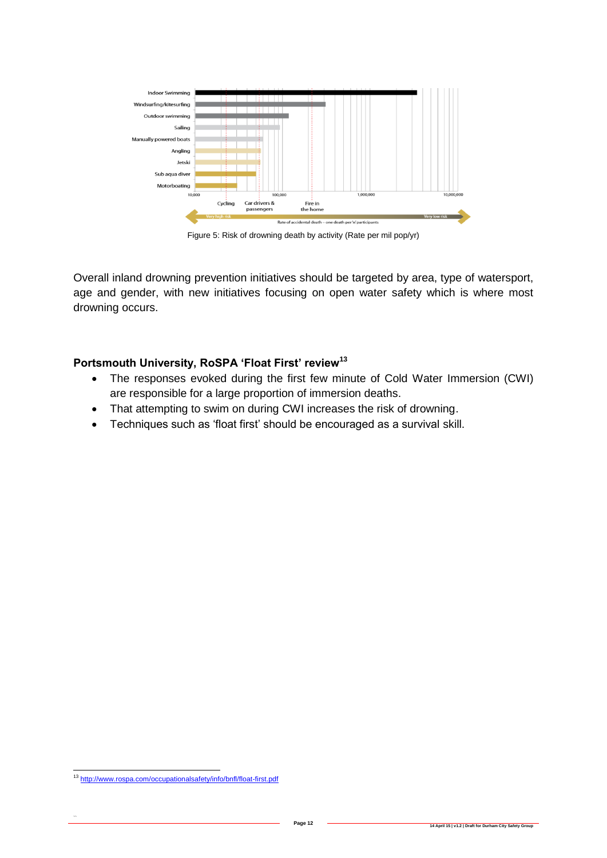

Figure 5: Risk of drowning death by activity (Rate per mil pop/yr)

Overall inland drowning prevention initiatives should be targeted by area, type of watersport, age and gender, with new initiatives focusing on open water safety which is where most drowning occurs.

#### **Portsmouth University, RoSPA 'Float First' review<sup>13</sup>**

- The responses evoked during the first few minute of Cold Water Immersion (CWI) are responsible for a large proportion of immersion deaths.
- That attempting to swim on during CWI increases the risk of drowning.
- Techniques such as 'float first' should be encouraged as a survival skill.

<sup>13</sup> <http://www.rospa.com/occupationalsafety/info/bnfl/float-first.pdf>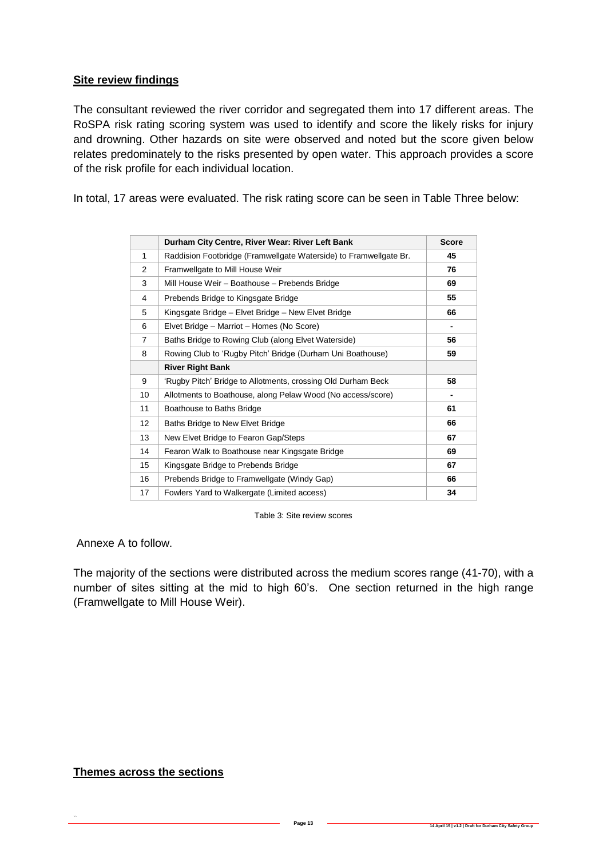#### **Site review findings**

The consultant reviewed the river corridor and segregated them into 17 different areas. The RoSPA risk rating scoring system was used to identify and score the likely risks for injury and drowning. Other hazards on site were observed and noted but the score given below relates predominately to the risks presented by open water. This approach provides a score of the risk profile for each individual location.

In total, 17 areas were evaluated. The risk rating score can be seen in Table Three below:

|                | Durham City Centre, River Wear: River Left Bank                   | <b>Score</b> |
|----------------|-------------------------------------------------------------------|--------------|
| 1              | Raddision Footbridge (Framwellgate Waterside) to Framwellgate Br. | 45           |
| 2              | Framwellgate to Mill House Weir                                   | 76           |
| 3              | Mill House Weir - Boathouse - Prebends Bridge                     | 69           |
| 4              | Prebends Bridge to Kingsgate Bridge                               | 55           |
| 5              | Kingsgate Bridge - Elvet Bridge - New Elvet Bridge                | 66           |
| 6              | Elvet Bridge - Marriot - Homes (No Score)                         | ٠            |
| $\overline{7}$ | Baths Bridge to Rowing Club (along Elvet Waterside)               | 56           |
| 8              | Rowing Club to 'Rugby Pitch' Bridge (Durham Uni Boathouse)        | 59           |
|                | <b>River Right Bank</b>                                           |              |
| 9              | 'Rugby Pitch' Bridge to Allotments, crossing Old Durham Beck      | 58           |
| 10             | Allotments to Boathouse, along Pelaw Wood (No access/score)       |              |
| 11             | Boathouse to Baths Bridge                                         | 61           |
| 12             | Baths Bridge to New Elvet Bridge                                  | 66           |
| 13             | New Elvet Bridge to Fearon Gap/Steps                              | 67           |
| 14             | Fearon Walk to Boathouse near Kingsgate Bridge                    | 69           |
| 15             | Kingsgate Bridge to Prebends Bridge                               | 67           |
| 16             | Prebends Bridge to Framwellgate (Windy Gap)                       | 66           |
| 17             | Fowlers Yard to Walkergate (Limited access)                       | 34           |

Table 3: Site review scores

Annexe A to follow.

The majority of the sections were distributed across the medium scores range (41-70), with a number of sites sitting at the mid to high 60's. One section returned in the high range (Framwellgate to Mill House Weir).

#### **Themes across the sections**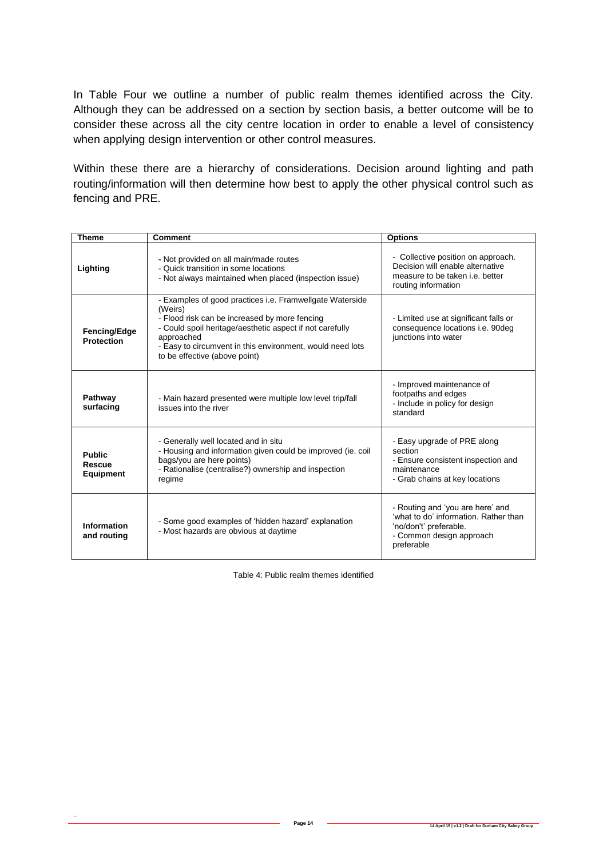In Table Four we outline a number of public realm themes identified across the City. Although they can be addressed on a section by section basis, a better outcome will be to consider these across all the city centre location in order to enable a level of consistency when applying design intervention or other control measures.

Within these there are a hierarchy of considerations. Decision around lighting and path routing/information will then determine how best to apply the other physical control such as fencing and PRE.

| <b>Theme</b>                                | <b>Comment</b>                                                                                                                                                                                                                                                                               | <b>Options</b>                                                                                                                                |
|---------------------------------------------|----------------------------------------------------------------------------------------------------------------------------------------------------------------------------------------------------------------------------------------------------------------------------------------------|-----------------------------------------------------------------------------------------------------------------------------------------------|
| Lighting                                    | - Not provided on all main/made routes<br>- Quick transition in some locations<br>- Not always maintained when placed (inspection issue)                                                                                                                                                     | - Collective position on approach.<br>Decision will enable alternative<br>measure to be taken <i>i.e.</i> better<br>routing information       |
| Fencing/Edge<br><b>Protection</b>           | - Examples of good practices i.e. Framwellgate Waterside<br>(Weirs)<br>- Flood risk can be increased by more fencing<br>- Could spoil heritage/aesthetic aspect if not carefully<br>approached<br>- Easy to circumvent in this environment, would need lots<br>to be effective (above point) | - Limited use at significant falls or<br>consequence locations i.e. 90deg<br>junctions into water                                             |
| Pathway<br>surfacing                        | - Main hazard presented were multiple low level trip/fall<br>issues into the river                                                                                                                                                                                                           | - Improved maintenance of<br>footpaths and edges<br>- Include in policy for design<br>standard                                                |
| <b>Public</b><br>Rescue<br><b>Equipment</b> | - Generally well located and in situ<br>- Housing and information given could be improved (ie. coil<br>bags/you are here points)<br>- Rationalise (centralise?) ownership and inspection<br>regime                                                                                           | - Easy upgrade of PRE along<br>section<br>- Ensure consistent inspection and<br>maintenance<br>- Grab chains at key locations                 |
| <b>Information</b><br>and routing           | - Some good examples of 'hidden hazard' explanation<br>- Most hazards are obvious at daytime                                                                                                                                                                                                 | - Routing and 'you are here' and<br>'what to do' information. Rather than<br>'no/don't' preferable.<br>- Common design approach<br>preferable |

Table 4: Public realm themes identified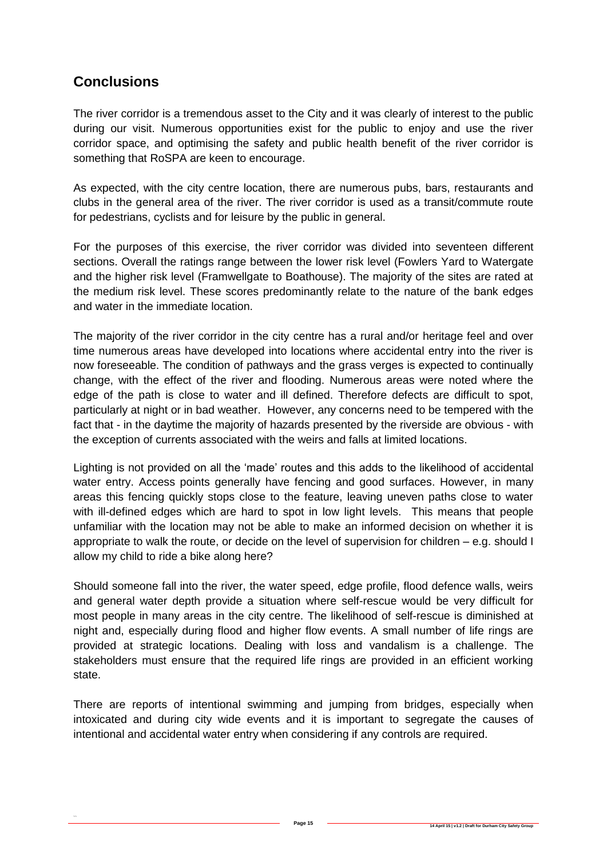# **Conclusions**

 $\ddot{\phantom{0}}$ 

The river corridor is a tremendous asset to the City and it was clearly of interest to the public during our visit. Numerous opportunities exist for the public to enjoy and use the river corridor space, and optimising the safety and public health benefit of the river corridor is something that RoSPA are keen to encourage.

As expected, with the city centre location, there are numerous pubs, bars, restaurants and clubs in the general area of the river. The river corridor is used as a transit/commute route for pedestrians, cyclists and for leisure by the public in general.

For the purposes of this exercise, the river corridor was divided into seventeen different sections. Overall the ratings range between the lower risk level (Fowlers Yard to Watergate and the higher risk level (Framwellgate to Boathouse). The majority of the sites are rated at the medium risk level. These scores predominantly relate to the nature of the bank edges and water in the immediate location.

The majority of the river corridor in the city centre has a rural and/or heritage feel and over time numerous areas have developed into locations where accidental entry into the river is now foreseeable. The condition of pathways and the grass verges is expected to continually change, with the effect of the river and flooding. Numerous areas were noted where the edge of the path is close to water and ill defined. Therefore defects are difficult to spot, particularly at night or in bad weather. However, any concerns need to be tempered with the fact that - in the daytime the majority of hazards presented by the riverside are obvious - with the exception of currents associated with the weirs and falls at limited locations.

Lighting is not provided on all the 'made' routes and this adds to the likelihood of accidental water entry. Access points generally have fencing and good surfaces. However, in many areas this fencing quickly stops close to the feature, leaving uneven paths close to water with ill-defined edges which are hard to spot in low light levels. This means that people unfamiliar with the location may not be able to make an informed decision on whether it is appropriate to walk the route, or decide on the level of supervision for children – e.g. should I allow my child to ride a bike along here?

Should someone fall into the river, the water speed, edge profile, flood defence walls, weirs and general water depth provide a situation where self-rescue would be very difficult for most people in many areas in the city centre. The likelihood of self-rescue is diminished at night and, especially during flood and higher flow events. A small number of life rings are provided at strategic locations. Dealing with loss and vandalism is a challenge. The stakeholders must ensure that the required life rings are provided in an efficient working state.

There are reports of intentional swimming and jumping from bridges, especially when intoxicated and during city wide events and it is important to segregate the causes of intentional and accidental water entry when considering if any controls are required.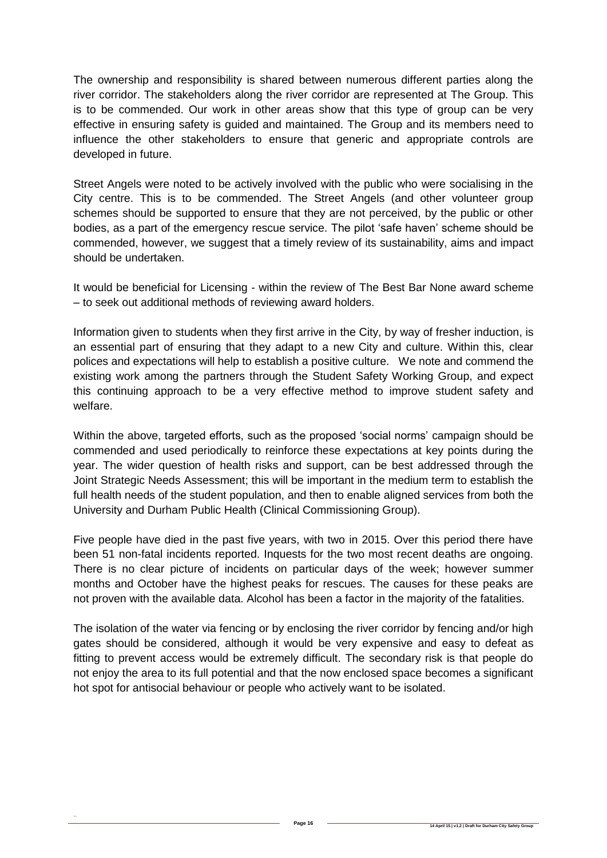The ownership and responsibility is shared between numerous different parties along the river corridor. The stakeholders along the river corridor are represented at The Group. This is to be commended. Our work in other areas show that this type of group can be very effective in ensuring safety is guided and maintained. The Group and its members need to influence the other stakeholders to ensure that generic and appropriate controls are developed in future.

Street Angels were noted to be actively involved with the public who were socialising in the City centre. This is to be commended. The Street Angels (and other volunteer group schemes should be supported to ensure that they are not perceived, by the public or other bodies, as a part of the emergency rescue service. The pilot 'safe haven' scheme should be commended, however, we suggest that a timely review of its sustainability, aims and impact should be undertaken.

It would be beneficial for Licensing - within the review of The Best Bar None award scheme – to seek out additional methods of reviewing award holders.

Information given to students when they first arrive in the City, by way of fresher induction, is an essential part of ensuring that they adapt to a new City and culture. Within this, clear polices and expectations will help to establish a positive culture. We note and commend the existing work among the partners through the Student Safety Working Group, and expect this continuing approach to be a very effective method to improve student safety and welfare.

Within the above, targeted efforts, such as the proposed 'social norms' campaign should be commended and used periodically to reinforce these expectations at key points during the year. The wider question of health risks and support, can be best addressed through the Joint Strategic Needs Assessment; this will be important in the medium term to establish the full health needs of the student population, and then to enable aligned services from both the University and Durham Public Health (Clinical Commissioning Group).

Five people have died in the past five years, with two in 2015. Over this period there have been 51 non-fatal incidents reported. Inquests for the two most recent deaths are ongoing. There is no clear picture of incidents on particular days of the week; however summer months and October have the highest peaks for rescues. The causes for these peaks are not proven with the available data. Alcohol has been a factor in the majority of the fatalities.

The isolation of the water via fencing or by enclosing the river corridor by fencing and/or high gates should be considered, although it would be very expensive and easy to defeat as fitting to prevent access would be extremely difficult. The secondary risk is that people do not enjoy the area to its full potential and that the now enclosed space becomes a significant hot spot for antisocial behaviour or people who actively want to be isolated.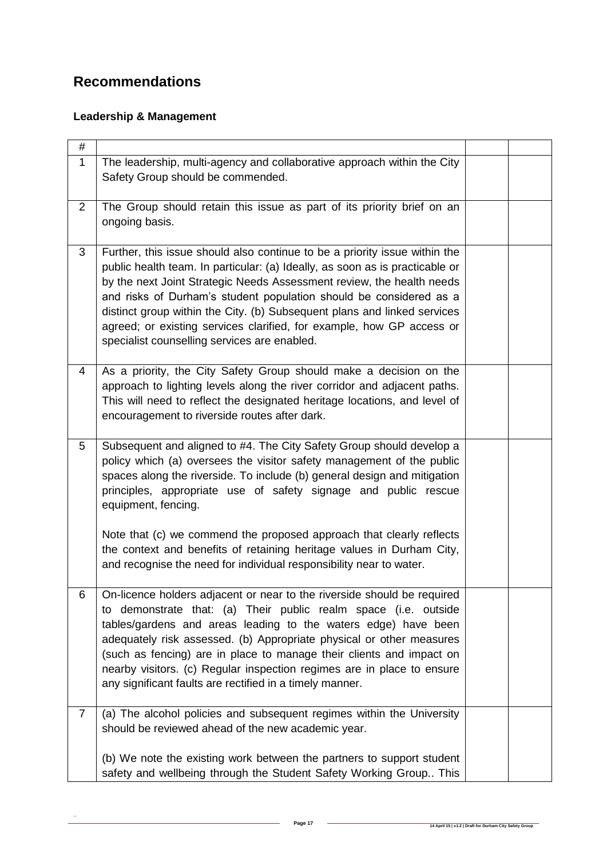# **Recommendations**

## **Leadership & Management**

| #              |                                                                                                                                                                                                                                                                                                                                                                                                                                                                                                                |  |
|----------------|----------------------------------------------------------------------------------------------------------------------------------------------------------------------------------------------------------------------------------------------------------------------------------------------------------------------------------------------------------------------------------------------------------------------------------------------------------------------------------------------------------------|--|
| $\mathbf{1}$   | The leadership, multi-agency and collaborative approach within the City<br>Safety Group should be commended.                                                                                                                                                                                                                                                                                                                                                                                                   |  |
| $\overline{2}$ | The Group should retain this issue as part of its priority brief on an<br>ongoing basis.                                                                                                                                                                                                                                                                                                                                                                                                                       |  |
| 3              | Further, this issue should also continue to be a priority issue within the<br>public health team. In particular: (a) Ideally, as soon as is practicable or<br>by the next Joint Strategic Needs Assessment review, the health needs<br>and risks of Durham's student population should be considered as a<br>distinct group within the City. (b) Subsequent plans and linked services<br>agreed; or existing services clarified, for example, how GP access or<br>specialist counselling services are enabled. |  |
| 4              | As a priority, the City Safety Group should make a decision on the<br>approach to lighting levels along the river corridor and adjacent paths.<br>This will need to reflect the designated heritage locations, and level of<br>encouragement to riverside routes after dark.                                                                                                                                                                                                                                   |  |
| 5 <sup>5</sup> | Subsequent and aligned to #4. The City Safety Group should develop a<br>policy which (a) oversees the visitor safety management of the public<br>spaces along the riverside. To include (b) general design and mitigation<br>principles, appropriate use of safety signage and public rescue<br>equipment, fencing.                                                                                                                                                                                            |  |
|                | Note that (c) we commend the proposed approach that clearly reflects<br>the context and benefits of retaining heritage values in Durham City,<br>and recognise the need for individual responsibility near to water.                                                                                                                                                                                                                                                                                           |  |
| 6              | On-licence holders adjacent or near to the riverside should be required<br>to demonstrate that: (a) Their public realm space (i.e. outside<br>tables/gardens and areas leading to the waters edge) have been<br>adequately risk assessed. (b) Appropriate physical or other measures<br>(such as fencing) are in place to manage their clients and impact on<br>nearby visitors. (c) Regular inspection regimes are in place to ensure<br>any significant faults are rectified in a timely manner.             |  |
| $\overline{7}$ | (a) The alcohol policies and subsequent regimes within the University<br>should be reviewed ahead of the new academic year.<br>(b) We note the existing work between the partners to support student                                                                                                                                                                                                                                                                                                           |  |
|                | safety and wellbeing through the Student Safety Working Group This                                                                                                                                                                                                                                                                                                                                                                                                                                             |  |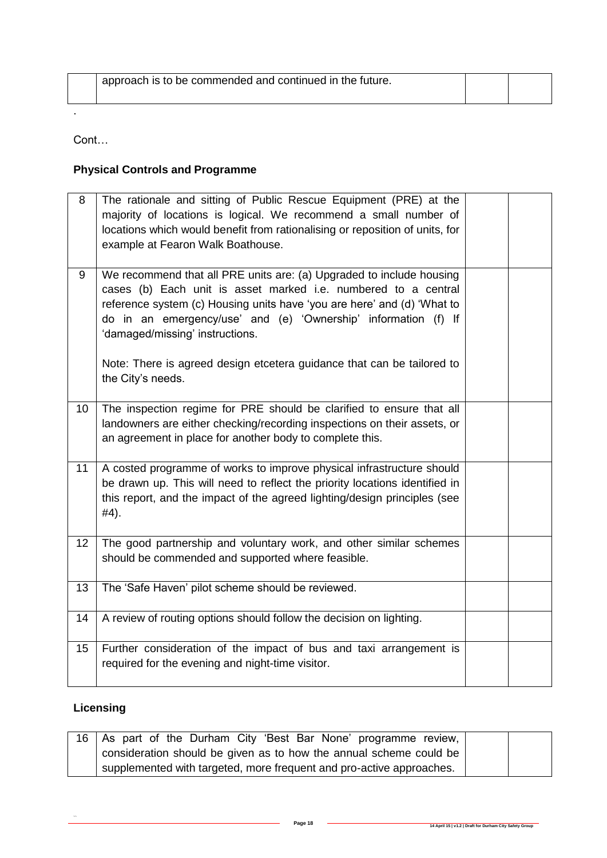| approach is to be commended and continued in the future. |  |
|----------------------------------------------------------|--|
|                                                          |  |

Cont…

.

## **Physical Controls and Programme**

| 8               | The rationale and sitting of Public Rescue Equipment (PRE) at the<br>majority of locations is logical. We recommend a small number of<br>locations which would benefit from rationalising or reposition of units, for<br>example at Fearon Walk Boathouse.                                                             |  |
|-----------------|------------------------------------------------------------------------------------------------------------------------------------------------------------------------------------------------------------------------------------------------------------------------------------------------------------------------|--|
| 9               | We recommend that all PRE units are: (a) Upgraded to include housing<br>cases (b) Each unit is asset marked i.e. numbered to a central<br>reference system (c) Housing units have 'you are here' and (d) 'What to<br>do in an emergency/use' and (e) 'Ownership' information (f) If<br>'damaged/missing' instructions. |  |
|                 | Note: There is agreed design etcetera guidance that can be tailored to<br>the City's needs.                                                                                                                                                                                                                            |  |
| 10 <sup>1</sup> | The inspection regime for PRE should be clarified to ensure that all<br>landowners are either checking/recording inspections on their assets, or<br>an agreement in place for another body to complete this.                                                                                                           |  |
| 11              | A costed programme of works to improve physical infrastructure should<br>be drawn up. This will need to reflect the priority locations identified in<br>this report, and the impact of the agreed lighting/design principles (see<br>#4).                                                                              |  |
| 12              | The good partnership and voluntary work, and other similar schemes<br>should be commended and supported where feasible.                                                                                                                                                                                                |  |
| 13              | The 'Safe Haven' pilot scheme should be reviewed.                                                                                                                                                                                                                                                                      |  |
| 14              | A review of routing options should follow the decision on lighting.                                                                                                                                                                                                                                                    |  |
| 15              | Further consideration of the impact of bus and taxi arrangement is<br>required for the evening and night-time visitor.                                                                                                                                                                                                 |  |

## **Licensing**

| 16   As part of the Durham City 'Best Bar None' programme review,    |  |
|----------------------------------------------------------------------|--|
| consideration should be given as to how the annual scheme could be   |  |
| supplemented with targeted, more frequent and pro-active approaches. |  |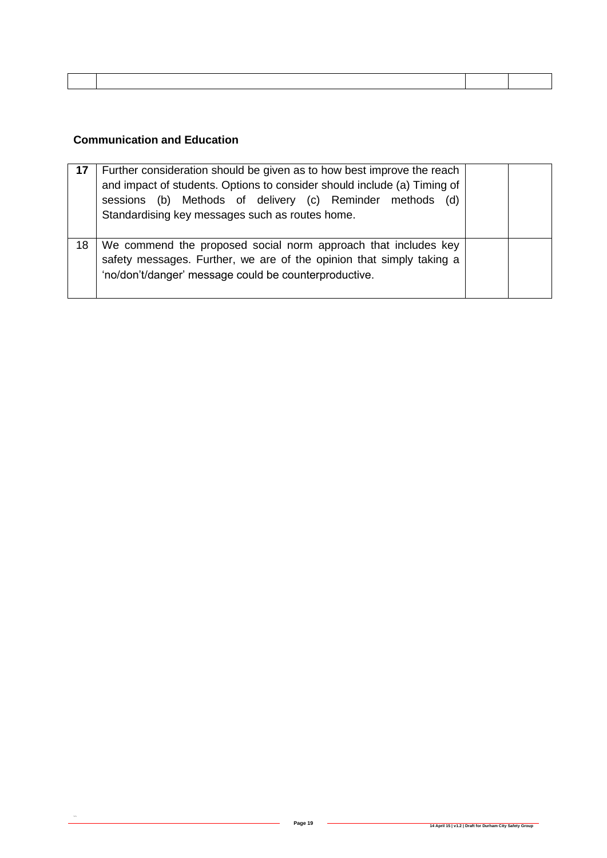#### **Communication and Education**

|    | Further consideration should be given as to how best improve the reach<br>and impact of students. Options to consider should include (a) Timing of<br>sessions (b) Methods of delivery (c) Reminder methods (d)<br>Standardising key messages such as routes home. |  |
|----|--------------------------------------------------------------------------------------------------------------------------------------------------------------------------------------------------------------------------------------------------------------------|--|
| 18 | We commend the proposed social norm approach that includes key<br>safety messages. Further, we are of the opinion that simply taking a<br>'no/don't/danger' message could be counterproductive.                                                                    |  |

 $\label{eq:1.1} \mathbf{w} = \mathbf{w} \cdot \mathbf{w} + \mathbf{w} \cdot \mathbf{w} + \mathbf{w} \cdot \mathbf{w} + \mathbf{w} \cdot \mathbf{w} + \mathbf{w} \cdot \mathbf{w} + \mathbf{w} \cdot \mathbf{w} + \mathbf{w} \cdot \mathbf{w} + \mathbf{w} \cdot \mathbf{w} + \mathbf{w} \cdot \mathbf{w} + \mathbf{w} \cdot \mathbf{w} + \mathbf{w} \cdot \mathbf{w} + \mathbf{w} \cdot \mathbf{w} + \mathbf{w} \cdot \mathbf{w} + \mathbf{w} \cdot \$